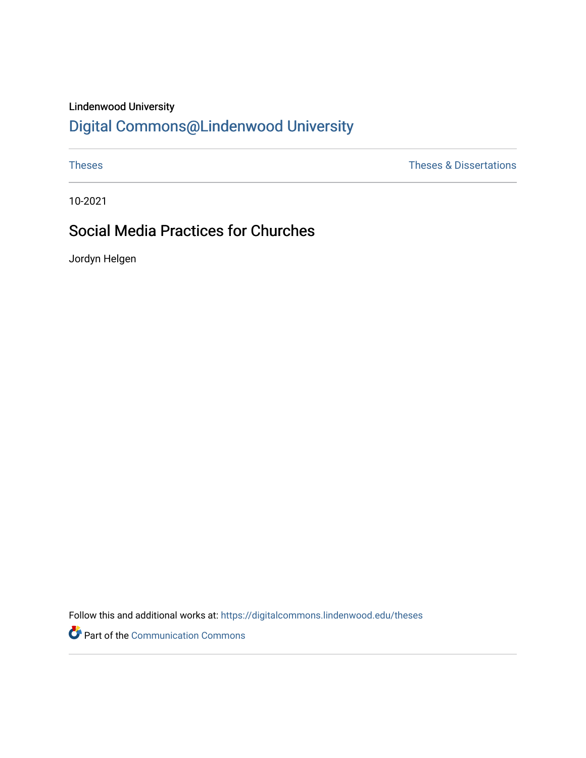## Lindenwood University

# [Digital Commons@Lindenwood University](https://digitalcommons.lindenwood.edu/)

[Theses](https://digitalcommons.lindenwood.edu/theses) & Dissertations

10-2021

## Social Media Practices for Churches

Jordyn Helgen

Follow this and additional works at: [https://digitalcommons.lindenwood.edu/theses](https://digitalcommons.lindenwood.edu/theses?utm_source=digitalcommons.lindenwood.edu%2Ftheses%2F86&utm_medium=PDF&utm_campaign=PDFCoverPages)

Part of the [Communication Commons](http://network.bepress.com/hgg/discipline/325?utm_source=digitalcommons.lindenwood.edu%2Ftheses%2F86&utm_medium=PDF&utm_campaign=PDFCoverPages)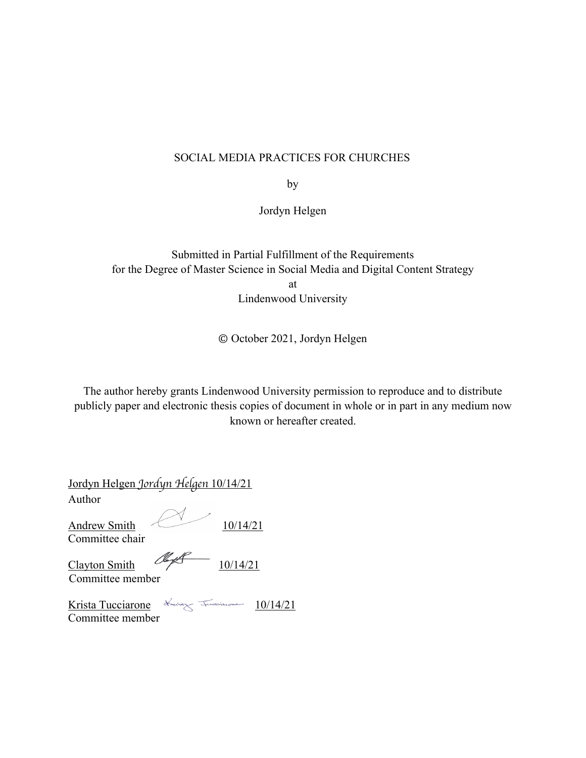### SOCIAL MEDIA PRACTICES FOR CHURCHES

by

Jordyn Helgen

Submitted in Partial Fulfillment of the Requirements for the Degree of Master Science in Social Media and Digital Content Strategy at Lindenwood University

© October 2021, Jordyn Helgen

The author hereby grants Lindenwood University permission to reproduce and to distribute publicly paper and electronic thesis copies of document in whole or in part in any medium now known or hereafter created.

| Jordyn Helgen Jordyn Helgen 10/14/21                             |           |          |  |
|------------------------------------------------------------------|-----------|----------|--|
| Author                                                           |           |          |  |
| <b>Andrew Smith</b><br>Committee chair                           |           | 10/14/21 |  |
| Clayton Smith<br>Committee member                                | <u>Va</u> | 10/14/21 |  |
| Krista Tucciarone Kaster Tucciarone 10/14/21<br>Committee member |           |          |  |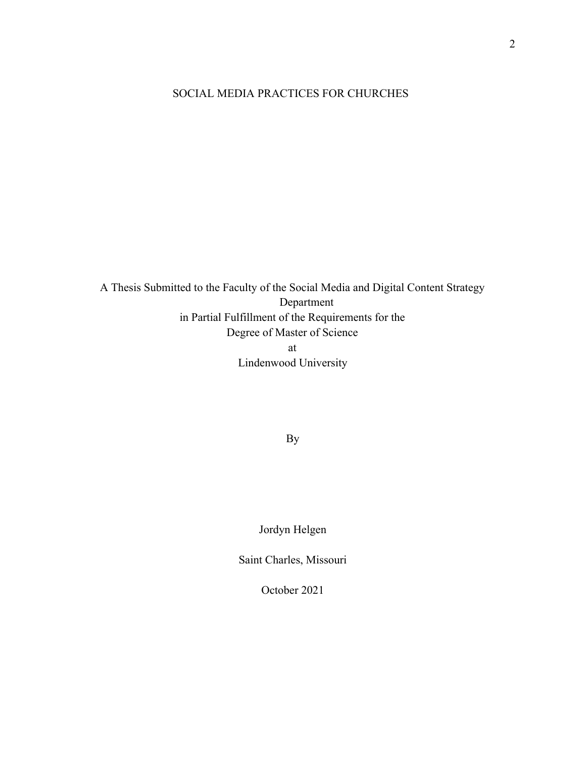## SOCIAL MEDIA PRACTICES FOR CHURCHES

A Thesis Submitted to the Faculty of the Social Media and Digital Content Strategy Department in Partial Fulfillment of the Requirements for the Degree of Master of Science at Lindenwood University

By

Jordyn Helgen

Saint Charles, Missouri

October 2021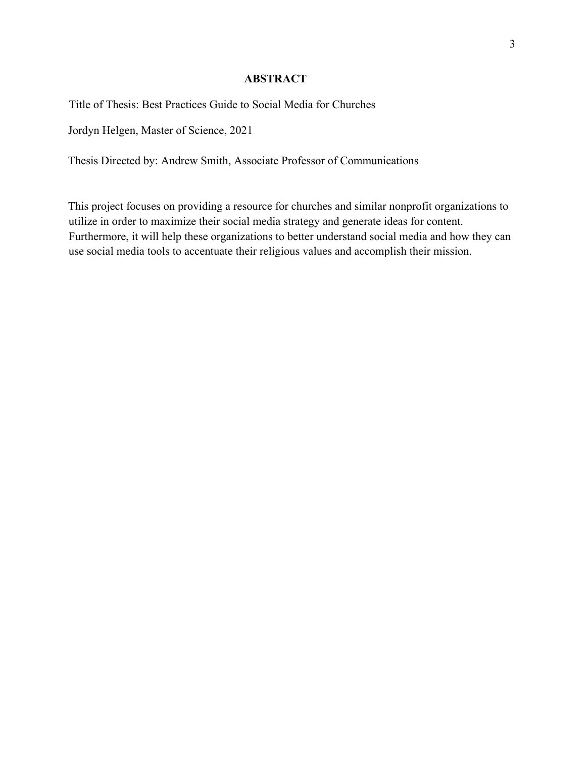#### **ABSTRACT**

Title of Thesis: Best Practices Guide to Social Media for Churches

Jordyn Helgen, Master of Science, 2021

Thesis Directed by: Andrew Smith, Associate Professor of Communications

This project focuses on providing a resource for churches and similar nonprofit organizations to utilize in order to maximize their social media strategy and generate ideas for content. Furthermore, it will help these organizations to better understand social media and how they can use social media tools to accentuate their religious values and accomplish their mission.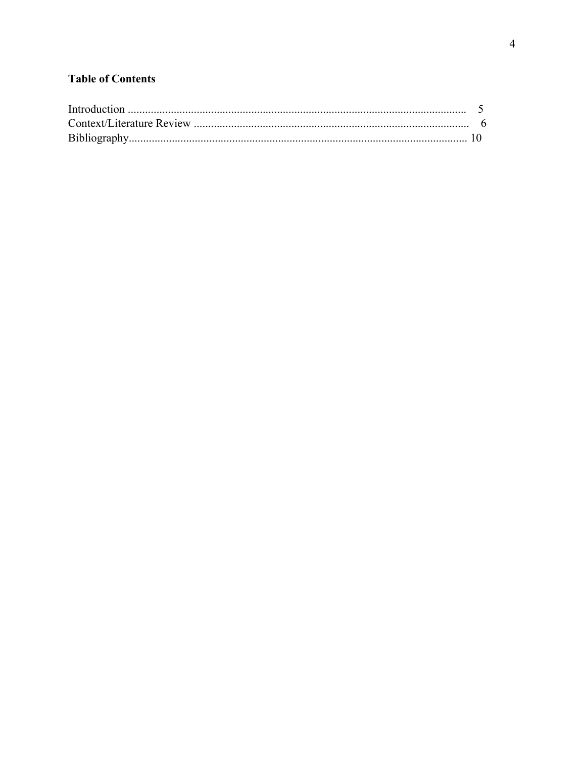## **Table of Contents**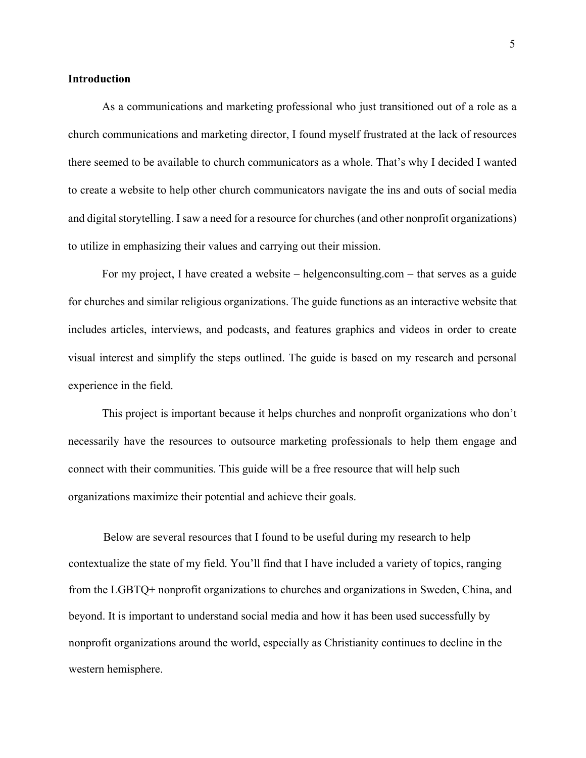#### **Introduction**

As a communications and marketing professional who just transitioned out of a role as a church communications and marketing director, I found myself frustrated at the lack of resources there seemed to be available to church communicators as a whole. That's why I decided I wanted to create a website to help other church communicators navigate the ins and outs of social media and digital storytelling. I saw a need for a resource for churches (and other nonprofit organizations) to utilize in emphasizing their values and carrying out their mission.

For my project, I have created a website – helgenconsulting.com – that serves as a guide for churches and similar religious organizations. The guide functions as an interactive website that includes articles, interviews, and podcasts, and features graphics and videos in order to create visual interest and simplify the steps outlined. The guide is based on my research and personal experience in the field.

This project is important because it helps churches and nonprofit organizations who don't necessarily have the resources to outsource marketing professionals to help them engage and connect with their communities. This guide will be a free resource that will help such organizations maximize their potential and achieve their goals.

Below are several resources that I found to be useful during my research to help contextualize the state of my field. You'll find that I have included a variety of topics, ranging from the LGBTQ+ nonprofit organizations to churches and organizations in Sweden, China, and beyond. It is important to understand social media and how it has been used successfully by nonprofit organizations around the world, especially as Christianity continues to decline in the western hemisphere.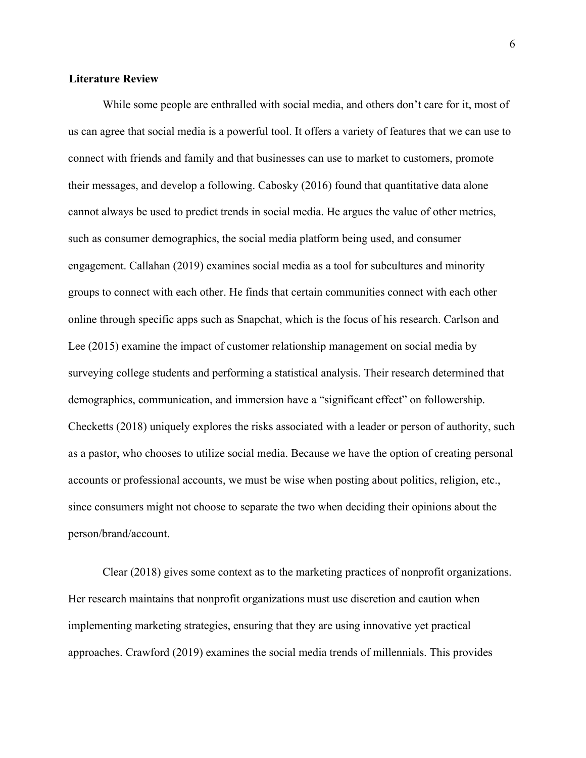#### **Literature Review**

While some people are enthralled with social media, and others don't care for it, most of us can agree that social media is a powerful tool. It offers a variety of features that we can use to connect with friends and family and that businesses can use to market to customers, promote their messages, and develop a following. Cabosky (2016) found that quantitative data alone cannot always be used to predict trends in social media. He argues the value of other metrics, such as consumer demographics, the social media platform being used, and consumer engagement. Callahan (2019) examines social media as a tool for subcultures and minority groups to connect with each other. He finds that certain communities connect with each other online through specific apps such as Snapchat, which is the focus of his research. Carlson and Lee (2015) examine the impact of customer relationship management on social media by surveying college students and performing a statistical analysis. Their research determined that demographics, communication, and immersion have a "significant effect" on followership. Checketts (2018) uniquely explores the risks associated with a leader or person of authority, such as a pastor, who chooses to utilize social media. Because we have the option of creating personal accounts or professional accounts, we must be wise when posting about politics, religion, etc., since consumers might not choose to separate the two when deciding their opinions about the person/brand/account.

Clear (2018) gives some context as to the marketing practices of nonprofit organizations. Her research maintains that nonprofit organizations must use discretion and caution when implementing marketing strategies, ensuring that they are using innovative yet practical approaches. Crawford (2019) examines the social media trends of millennials. This provides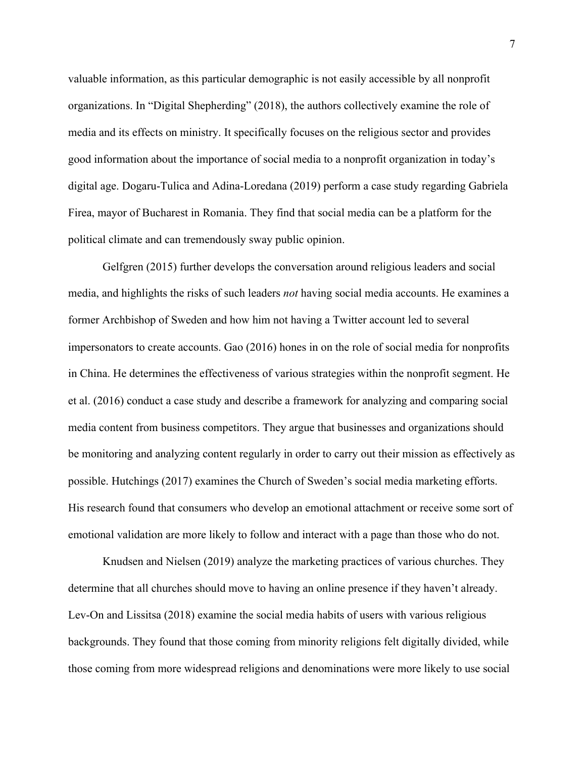valuable information, as this particular demographic is not easily accessible by all nonprofit organizations. In "Digital Shepherding" (2018), the authors collectively examine the role of media and its effects on ministry. It specifically focuses on the religious sector and provides good information about the importance of social media to a nonprofit organization in today's digital age. Dogaru-Tulica and Adina-Loredana (2019) perform a case study regarding Gabriela Firea, mayor of Bucharest in Romania. They find that social media can be a platform for the political climate and can tremendously sway public opinion.

Gelfgren (2015) further develops the conversation around religious leaders and social media, and highlights the risks of such leaders *not* having social media accounts. He examines a former Archbishop of Sweden and how him not having a Twitter account led to several impersonators to create accounts. Gao (2016) hones in on the role of social media for nonprofits in China. He determines the effectiveness of various strategies within the nonprofit segment. He et al. (2016) conduct a case study and describe a framework for analyzing and comparing social media content from business competitors. They argue that businesses and organizations should be monitoring and analyzing content regularly in order to carry out their mission as effectively as possible. Hutchings (2017) examines the Church of Sweden's social media marketing efforts. His research found that consumers who develop an emotional attachment or receive some sort of emotional validation are more likely to follow and interact with a page than those who do not.

Knudsen and Nielsen (2019) analyze the marketing practices of various churches. They determine that all churches should move to having an online presence if they haven't already. Lev-On and Lissitsa (2018) examine the social media habits of users with various religious backgrounds. They found that those coming from minority religions felt digitally divided, while those coming from more widespread religions and denominations were more likely to use social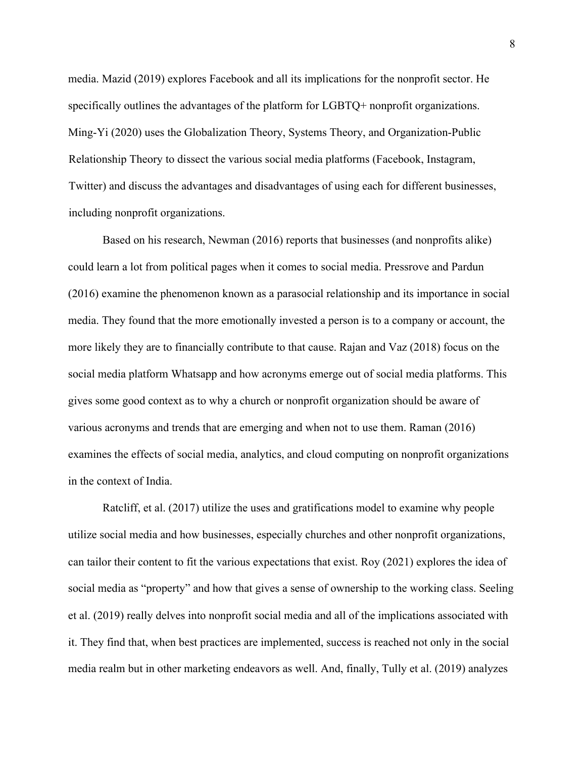media. Mazid (2019) explores Facebook and all its implications for the nonprofit sector. He specifically outlines the advantages of the platform for LGBTQ+ nonprofit organizations. Ming-Yi (2020) uses the Globalization Theory, Systems Theory, and Organization-Public Relationship Theory to dissect the various social media platforms (Facebook, Instagram, Twitter) and discuss the advantages and disadvantages of using each for different businesses, including nonprofit organizations.

Based on his research, Newman (2016) reports that businesses (and nonprofits alike) could learn a lot from political pages when it comes to social media. Pressrove and Pardun (2016) examine the phenomenon known as a parasocial relationship and its importance in social media. They found that the more emotionally invested a person is to a company or account, the more likely they are to financially contribute to that cause. Rajan and Vaz (2018) focus on the social media platform Whatsapp and how acronyms emerge out of social media platforms. This gives some good context as to why a church or nonprofit organization should be aware of various acronyms and trends that are emerging and when not to use them. Raman (2016) examines the effects of social media, analytics, and cloud computing on nonprofit organizations in the context of India.

Ratcliff, et al. (2017) utilize the uses and gratifications model to examine why people utilize social media and how businesses, especially churches and other nonprofit organizations, can tailor their content to fit the various expectations that exist. Roy (2021) explores the idea of social media as "property" and how that gives a sense of ownership to the working class. Seeling et al. (2019) really delves into nonprofit social media and all of the implications associated with it. They find that, when best practices are implemented, success is reached not only in the social media realm but in other marketing endeavors as well. And, finally, Tully et al. (2019) analyzes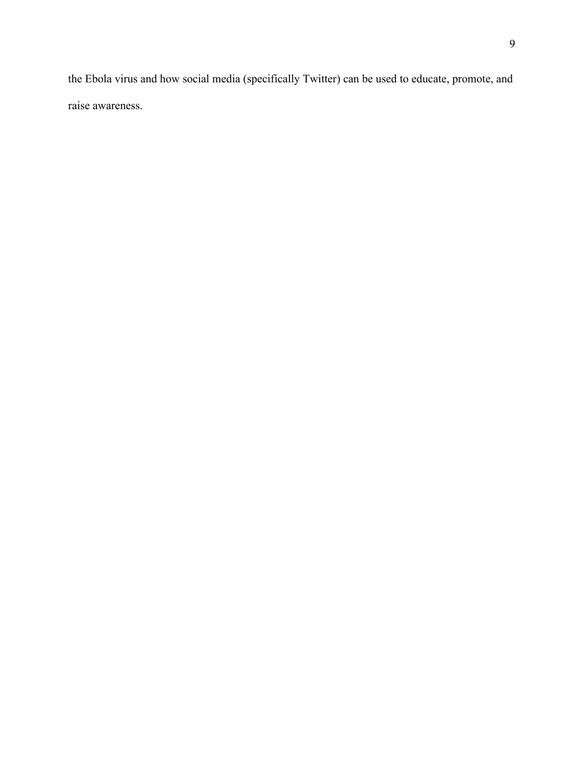the Ebola virus and how social media (specifically Twitter) can be used to educate, promote, and raise awareness.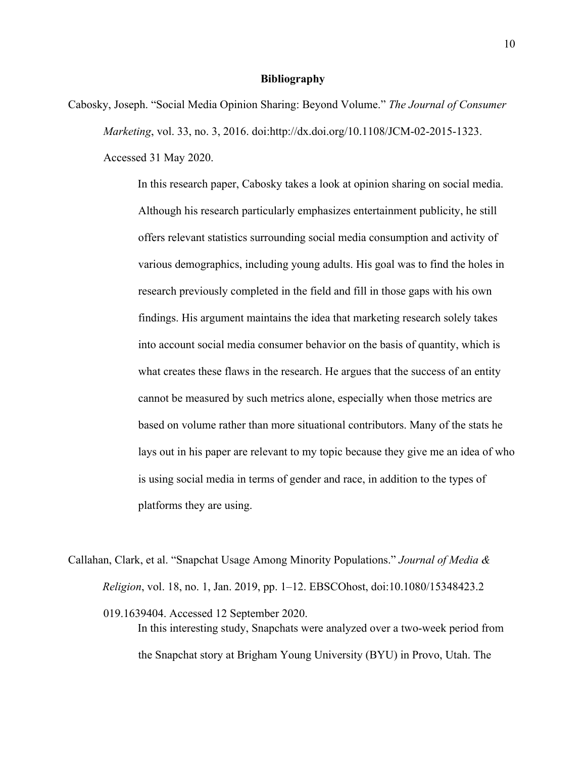#### **Bibliography**

Cabosky, Joseph. "Social Media Opinion Sharing: Beyond Volume." *The Journal of Consumer Marketing*, vol. 33, no. 3, 2016. doi:http://dx.doi.org/10.1108/JCM-02-2015-1323. Accessed 31 May 2020.

> In this research paper, Cabosky takes a look at opinion sharing on social media. Although his research particularly emphasizes entertainment publicity, he still offers relevant statistics surrounding social media consumption and activity of various demographics, including young adults. His goal was to find the holes in research previously completed in the field and fill in those gaps with his own findings. His argument maintains the idea that marketing research solely takes into account social media consumer behavior on the basis of quantity, which is what creates these flaws in the research. He argues that the success of an entity cannot be measured by such metrics alone, especially when those metrics are based on volume rather than more situational contributors. Many of the stats he lays out in his paper are relevant to my topic because they give me an idea of who is using social media in terms of gender and race, in addition to the types of platforms they are using.

Callahan, Clark, et al. "Snapchat Usage Among Minority Populations." *Journal of Media & Religion*, vol. 18, no. 1, Jan. 2019, pp. 1–12. EBSCOhost, doi:10.1080/15348423.2 019.1639404. Accessed 12 September 2020. In this interesting study, Snapchats were analyzed over a two-week period from the Snapchat story at Brigham Young University (BYU) in Provo, Utah. The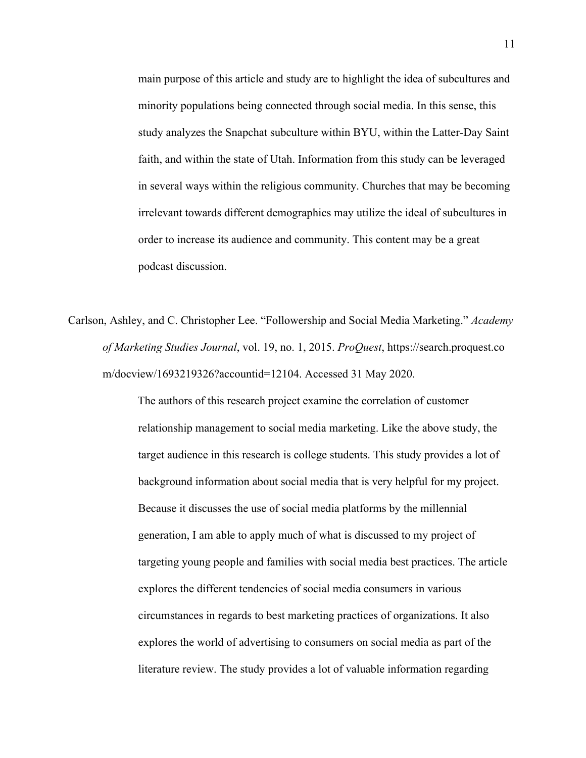main purpose of this article and study are to highlight the idea of subcultures and minority populations being connected through social media. In this sense, this study analyzes the Snapchat subculture within BYU, within the Latter-Day Saint faith, and within the state of Utah. Information from this study can be leveraged in several ways within the religious community. Churches that may be becoming irrelevant towards different demographics may utilize the ideal of subcultures in order to increase its audience and community. This content may be a great podcast discussion.

Carlson, Ashley, and C. Christopher Lee. "Followership and Social Media Marketing." *Academy of Marketing Studies Journal*, vol. 19, no. 1, 2015. *ProQuest*, https://search.proquest.co m/docview/1693219326?accountid=12104. Accessed 31 May 2020.

> The authors of this research project examine the correlation of customer relationship management to social media marketing. Like the above study, the target audience in this research is college students. This study provides a lot of background information about social media that is very helpful for my project. Because it discusses the use of social media platforms by the millennial generation, I am able to apply much of what is discussed to my project of targeting young people and families with social media best practices. The article explores the different tendencies of social media consumers in various circumstances in regards to best marketing practices of organizations. It also explores the world of advertising to consumers on social media as part of the literature review. The study provides a lot of valuable information regarding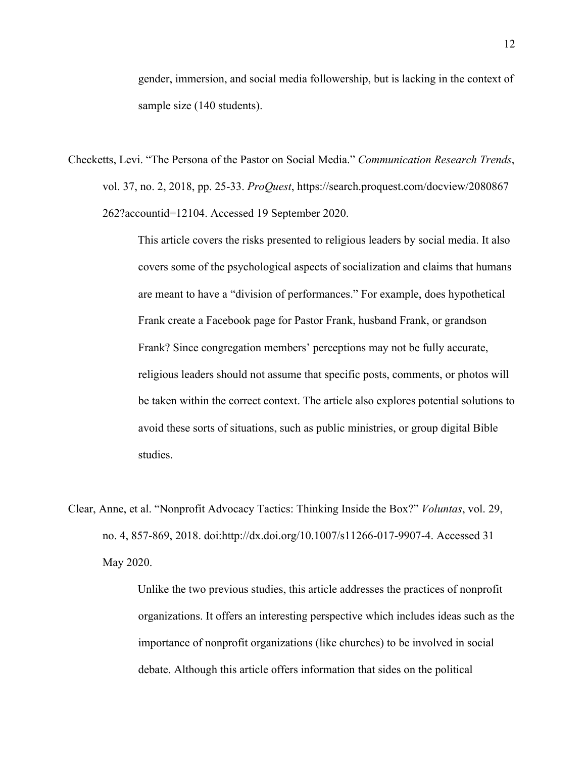gender, immersion, and social media followership, but is lacking in the context of sample size (140 students).

Checketts, Levi. "The Persona of the Pastor on Social Media." *Communication Research Trends*, vol. 37, no. 2, 2018, pp. 25-33. *ProQuest*, https://search.proquest.com/docview/2080867 262?accountid=12104. Accessed 19 September 2020.

> This article covers the risks presented to religious leaders by social media. It also covers some of the psychological aspects of socialization and claims that humans are meant to have a "division of performances." For example, does hypothetical Frank create a Facebook page for Pastor Frank, husband Frank, or grandson Frank? Since congregation members' perceptions may not be fully accurate, religious leaders should not assume that specific posts, comments, or photos will be taken within the correct context. The article also explores potential solutions to avoid these sorts of situations, such as public ministries, or group digital Bible studies.

Clear, Anne, et al. "Nonprofit Advocacy Tactics: Thinking Inside the Box?" *Voluntas*, vol. 29, no. 4, 857-869, 2018. doi:http://dx.doi.org/10.1007/s11266-017-9907-4. Accessed 31 May 2020.

> Unlike the two previous studies, this article addresses the practices of nonprofit organizations. It offers an interesting perspective which includes ideas such as the importance of nonprofit organizations (like churches) to be involved in social debate. Although this article offers information that sides on the political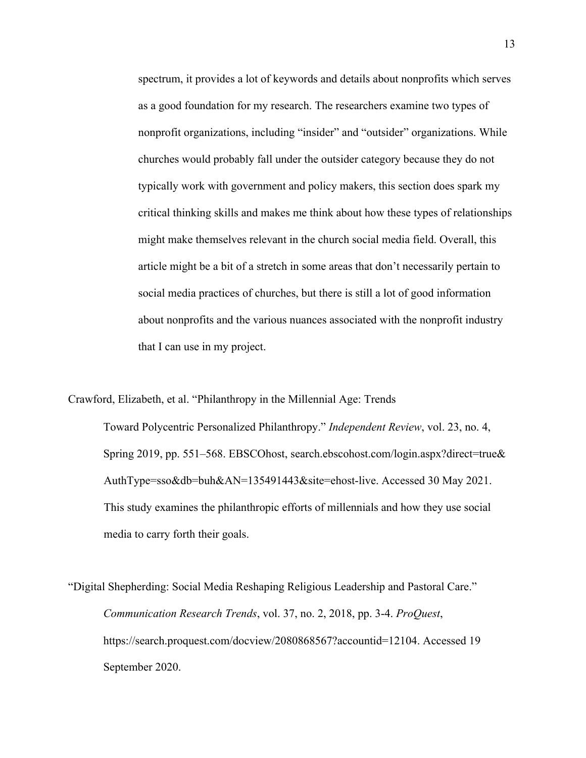spectrum, it provides a lot of keywords and details about nonprofits which serves as a good foundation for my research. The researchers examine two types of nonprofit organizations, including "insider" and "outsider" organizations. While churches would probably fall under the outsider category because they do not typically work with government and policy makers, this section does spark my critical thinking skills and makes me think about how these types of relationships might make themselves relevant in the church social media field. Overall, this article might be a bit of a stretch in some areas that don't necessarily pertain to social media practices of churches, but there is still a lot of good information about nonprofits and the various nuances associated with the nonprofit industry that I can use in my project.

Crawford, Elizabeth, et al. "Philanthropy in the Millennial Age: Trends Toward Polycentric Personalized Philanthropy." *Independent Review*, vol. 23, no. 4, Spring 2019, pp. 551–568. EBSCOhost, search.ebscohost.com/login.aspx?direct=true& AuthType=sso&db=buh&AN=135491443&site=ehost-live. Accessed 30 May 2021. This study examines the philanthropic efforts of millennials and how they use social media to carry forth their goals.

"Digital Shepherding: Social Media Reshaping Religious Leadership and Pastoral Care." *Communication Research Trends*, vol. 37, no. 2, 2018, pp. 3-4. *ProQuest*, https://search.proquest.com/docview/2080868567?accountid=12104. Accessed 19 September 2020.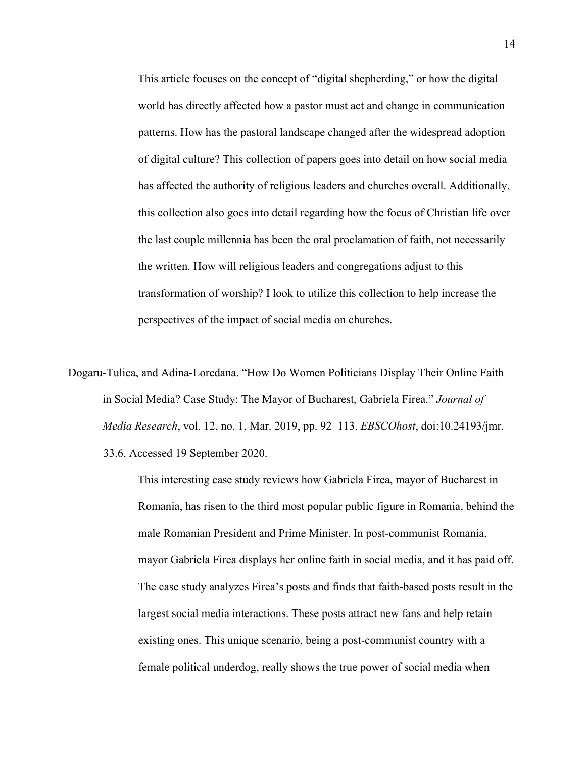This article focuses on the concept of "digital shepherding," or how the digital world has directly affected how a pastor must act and change in communication patterns. How has the pastoral landscape changed after the widespread adoption of digital culture? This collection of papers goes into detail on how social media has affected the authority of religious leaders and churches overall. Additionally, this collection also goes into detail regarding how the focus of Christian life over the last couple millennia has been the oral proclamation of faith, not necessarily the written. How will religious leaders and congregations adjust to this transformation of worship? I look to utilize this collection to help increase the perspectives of the impact of social media on churches.

Dogaru-Tulica, and Adina-Loredana. "How Do Women Politicians Display Their Online Faith in Social Media? Case Study: The Mayor of Bucharest, Gabriela Firea." *Journal of Media Research*, vol. 12, no. 1, Mar. 2019, pp. 92–113. *EBSCOhost*, doi:10.24193/jmr. 33.6. Accessed 19 September 2020.

> This interesting case study reviews how Gabriela Firea, mayor of Bucharest in Romania, has risen to the third most popular public figure in Romania, behind the male Romanian President and Prime Minister. In post-communist Romania, mayor Gabriela Firea displays her online faith in social media, and it has paid off. The case study analyzes Firea's posts and finds that faith-based posts result in the largest social media interactions. These posts attract new fans and help retain existing ones. This unique scenario, being a post-communist country with a female political underdog, really shows the true power of social media when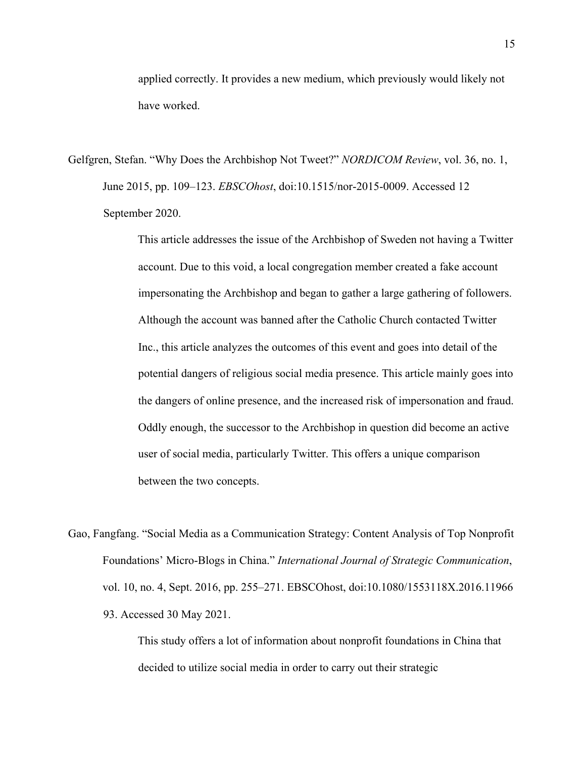applied correctly. It provides a new medium, which previously would likely not have worked.

Gelfgren, Stefan. "Why Does the Archbishop Not Tweet?" *NORDICOM Review*, vol. 36, no. 1, June 2015, pp. 109–123. *EBSCOhost*, doi:10.1515/nor-2015-0009. Accessed 12 September 2020.

> This article addresses the issue of the Archbishop of Sweden not having a Twitter account. Due to this void, a local congregation member created a fake account impersonating the Archbishop and began to gather a large gathering of followers. Although the account was banned after the Catholic Church contacted Twitter Inc., this article analyzes the outcomes of this event and goes into detail of the potential dangers of religious social media presence. This article mainly goes into the dangers of online presence, and the increased risk of impersonation and fraud. Oddly enough, the successor to the Archbishop in question did become an active user of social media, particularly Twitter. This offers a unique comparison between the two concepts.

Gao, Fangfang. "Social Media as a Communication Strategy: Content Analysis of Top Nonprofit Foundations' Micro-Blogs in China." *International Journal of Strategic Communication*, vol. 10, no. 4, Sept. 2016, pp. 255–271. EBSCOhost, doi:10.1080/1553118X.2016.11966 93. Accessed 30 May 2021.

> This study offers a lot of information about nonprofit foundations in China that decided to utilize social media in order to carry out their strategic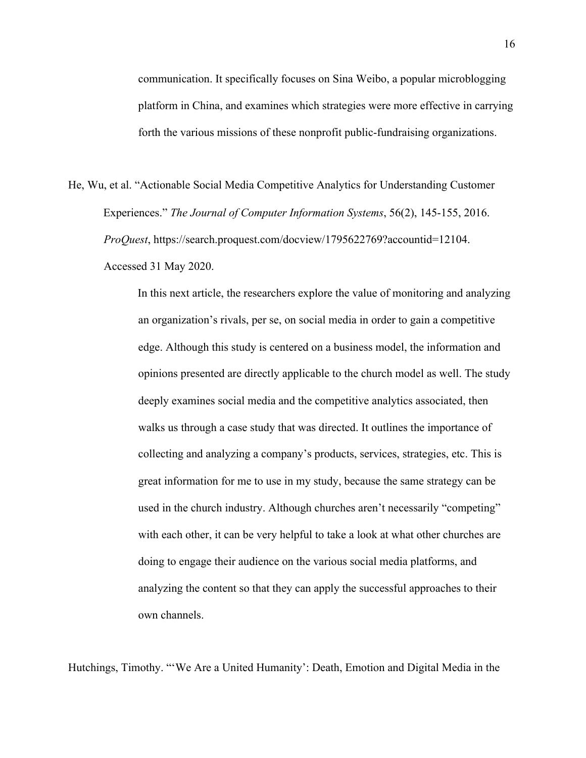communication. It specifically focuses on Sina Weibo, a popular microblogging platform in China, and examines which strategies were more effective in carrying forth the various missions of these nonprofit public-fundraising organizations.

He, Wu, et al. "Actionable Social Media Competitive Analytics for Understanding Customer Experiences." *The Journal of Computer Information Systems*, 56(2), 145-155, 2016. *ProQuest*, https://search.proquest.com/docview/1795622769?accountid=12104. Accessed 31 May 2020.

> In this next article, the researchers explore the value of monitoring and analyzing an organization's rivals, per se, on social media in order to gain a competitive edge. Although this study is centered on a business model, the information and opinions presented are directly applicable to the church model as well. The study deeply examines social media and the competitive analytics associated, then walks us through a case study that was directed. It outlines the importance of collecting and analyzing a company's products, services, strategies, etc. This is great information for me to use in my study, because the same strategy can be used in the church industry. Although churches aren't necessarily "competing" with each other, it can be very helpful to take a look at what other churches are doing to engage their audience on the various social media platforms, and analyzing the content so that they can apply the successful approaches to their own channels.

Hutchings, Timothy. "'We Are a United Humanity': Death, Emotion and Digital Media in the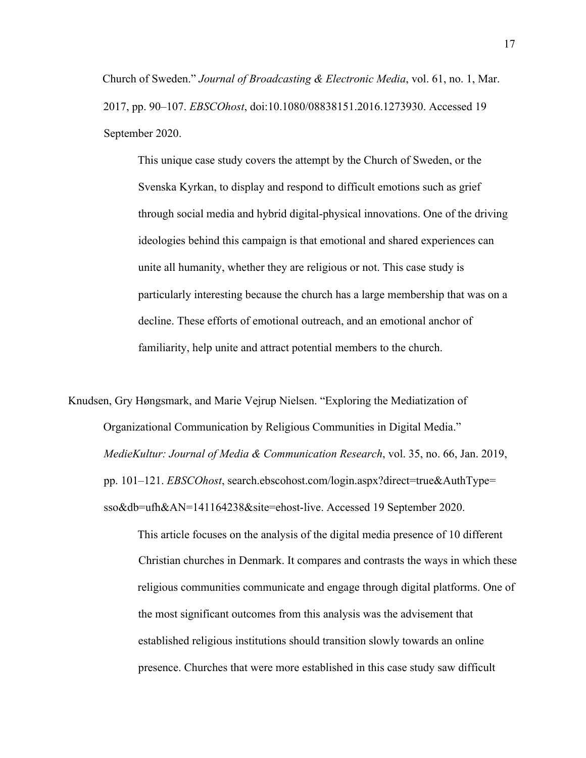Church of Sweden." *Journal of Broadcasting & Electronic Media*, vol. 61, no. 1, Mar. 2017, pp. 90–107. *EBSCOhost*, doi:10.1080/08838151.2016.1273930. Accessed 19 September 2020.

This unique case study covers the attempt by the Church of Sweden, or the Svenska Kyrkan, to display and respond to difficult emotions such as grief through social media and hybrid digital-physical innovations. One of the driving ideologies behind this campaign is that emotional and shared experiences can unite all humanity, whether they are religious or not. This case study is particularly interesting because the church has a large membership that was on a decline. These efforts of emotional outreach, and an emotional anchor of familiarity, help unite and attract potential members to the church.

Knudsen, Gry Høngsmark, and Marie Vejrup Nielsen. "Exploring the Mediatization of Organizational Communication by Religious Communities in Digital Media." *MedieKultur: Journal of Media & Communication Research*, vol. 35, no. 66, Jan. 2019, pp. 101–121. *EBSCOhost*, search.ebscohost.com/login.aspx?direct=true&AuthType= sso&db=ufh&AN=141164238&site=ehost-live. Accessed 19 September 2020.

> This article focuses on the analysis of the digital media presence of 10 different Christian churches in Denmark. It compares and contrasts the ways in which these religious communities communicate and engage through digital platforms. One of the most significant outcomes from this analysis was the advisement that established religious institutions should transition slowly towards an online presence. Churches that were more established in this case study saw difficult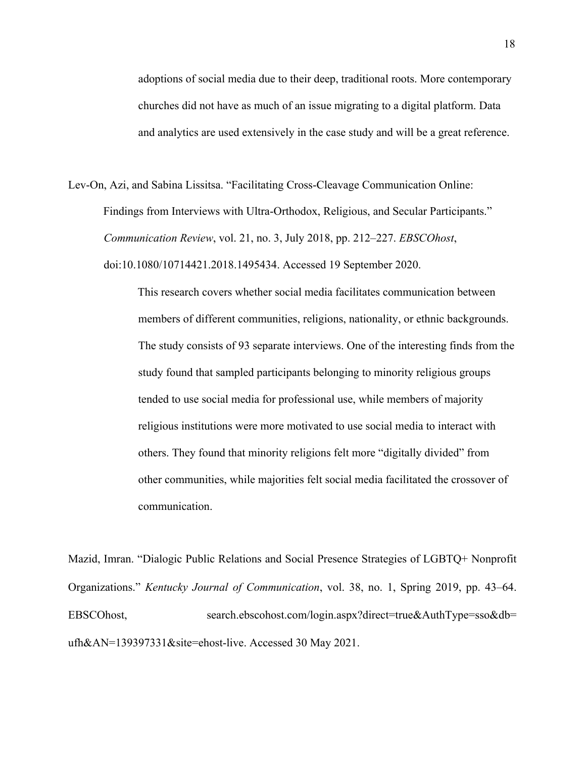adoptions of social media due to their deep, traditional roots. More contemporary churches did not have as much of an issue migrating to a digital platform. Data and analytics are used extensively in the case study and will be a great reference.

Lev-On, Azi, and Sabina Lissitsa. "Facilitating Cross-Cleavage Communication Online: Findings from Interviews with Ultra-Orthodox, Religious, and Secular Participants." *Communication Review*, vol. 21, no. 3, July 2018, pp. 212–227. *EBSCOhost*, doi:10.1080/10714421.2018.1495434. Accessed 19 September 2020.

> This research covers whether social media facilitates communication between members of different communities, religions, nationality, or ethnic backgrounds. The study consists of 93 separate interviews. One of the interesting finds from the study found that sampled participants belonging to minority religious groups tended to use social media for professional use, while members of majority religious institutions were more motivated to use social media to interact with others. They found that minority religions felt more "digitally divided" from other communities, while majorities felt social media facilitated the crossover of communication.

Mazid, Imran. "Dialogic Public Relations and Social Presence Strategies of LGBTQ+ Nonprofit Organizations." *Kentucky Journal of Communication*, vol. 38, no. 1, Spring 2019, pp. 43–64. EBSCOhost, search.ebscohost.com/login.aspx?direct=true&AuthType=sso&db= ufh&AN=139397331&site=ehost-live. Accessed 30 May 2021.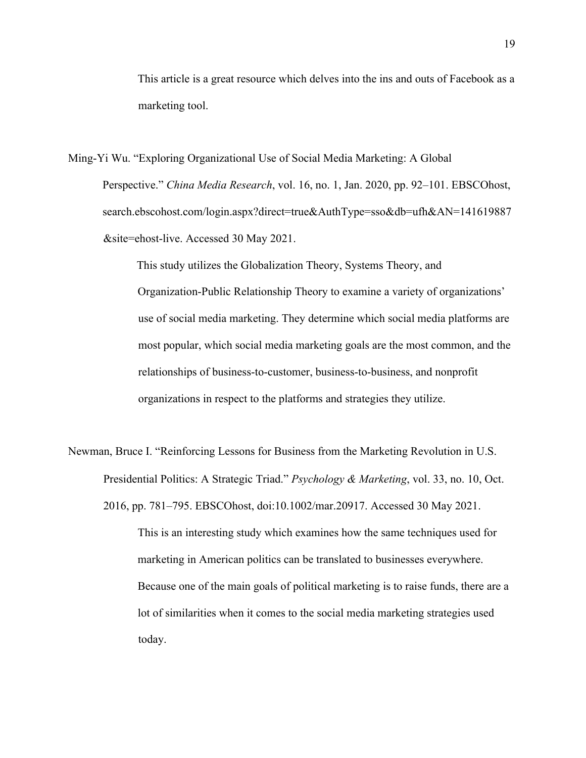This article is a great resource which delves into the ins and outs of Facebook as a marketing tool.

Ming-Yi Wu. "Exploring Organizational Use of Social Media Marketing: A Global Perspective." *China Media Research*, vol. 16, no. 1, Jan. 2020, pp. 92–101. EBSCOhost, search.ebscohost.com/login.aspx?direct=true&AuthType=sso&db=ufh&AN=141619887 &site=ehost-live. Accessed 30 May 2021.

> This study utilizes the Globalization Theory, Systems Theory, and Organization-Public Relationship Theory to examine a variety of organizations' use of social media marketing. They determine which social media platforms are most popular, which social media marketing goals are the most common, and the relationships of business-to-customer, business-to-business, and nonprofit organizations in respect to the platforms and strategies they utilize.

Newman, Bruce I. "Reinforcing Lessons for Business from the Marketing Revolution in U.S. Presidential Politics: A Strategic Triad." *Psychology & Marketing*, vol. 33, no. 10, Oct. 2016, pp. 781–795. EBSCOhost, doi:10.1002/mar.20917. Accessed 30 May 2021.

> This is an interesting study which examines how the same techniques used for marketing in American politics can be translated to businesses everywhere. Because one of the main goals of political marketing is to raise funds, there are a lot of similarities when it comes to the social media marketing strategies used today.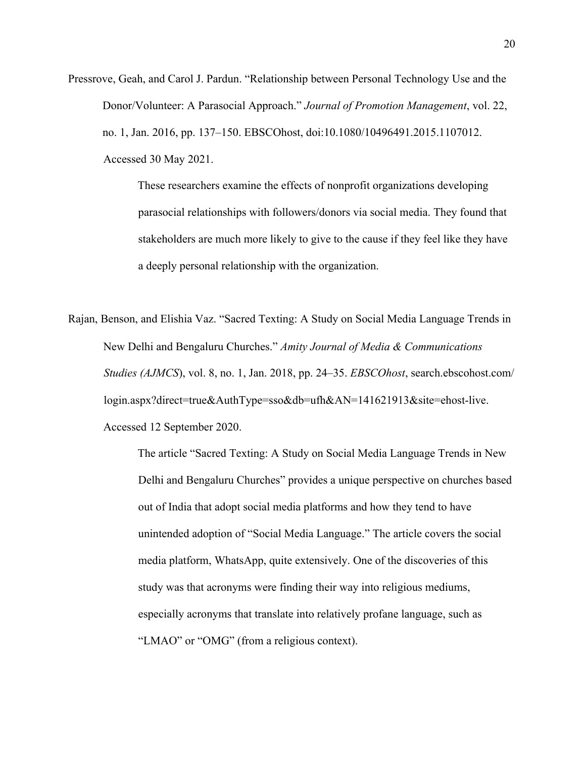Pressrove, Geah, and Carol J. Pardun. "Relationship between Personal Technology Use and the Donor/Volunteer: A Parasocial Approach." *Journal of Promotion Management*, vol. 22, no. 1, Jan. 2016, pp. 137–150. EBSCOhost, doi:10.1080/10496491.2015.1107012. Accessed 30 May 2021.

> These researchers examine the effects of nonprofit organizations developing parasocial relationships with followers/donors via social media. They found that stakeholders are much more likely to give to the cause if they feel like they have a deeply personal relationship with the organization.

Rajan, Benson, and Elishia Vaz. "Sacred Texting: A Study on Social Media Language Trends in New Delhi and Bengaluru Churches." *Amity Journal of Media & Communications Studies (AJMCS*), vol. 8, no. 1, Jan. 2018, pp. 24–35. *EBSCOhost*, search.ebscohost.com/ login.aspx?direct=true&AuthType=sso&db=ufh&AN=141621913&site=ehost-live. Accessed 12 September 2020.

> The article "Sacred Texting: A Study on Social Media Language Trends in New Delhi and Bengaluru Churches" provides a unique perspective on churches based out of India that adopt social media platforms and how they tend to have unintended adoption of "Social Media Language." The article covers the social media platform, WhatsApp, quite extensively. One of the discoveries of this study was that acronyms were finding their way into religious mediums, especially acronyms that translate into relatively profane language, such as "LMAO" or "OMG" (from a religious context).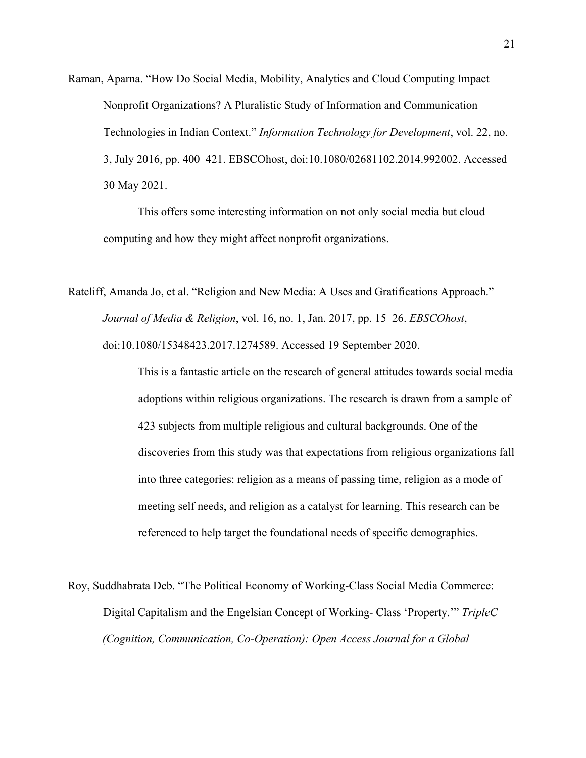Raman, Aparna. "How Do Social Media, Mobility, Analytics and Cloud Computing Impact Nonprofit Organizations? A Pluralistic Study of Information and Communication Technologies in Indian Context." *Information Technology for Development*, vol. 22, no. 3, July 2016, pp. 400–421. EBSCOhost, doi:10.1080/02681102.2014.992002. Accessed 30 May 2021.

This offers some interesting information on not only social media but cloud computing and how they might affect nonprofit organizations.

Ratcliff, Amanda Jo, et al. "Religion and New Media: A Uses and Gratifications Approach." *Journal of Media & Religion*, vol. 16, no. 1, Jan. 2017, pp. 15–26. *EBSCOhost*, doi:10.1080/15348423.2017.1274589. Accessed 19 September 2020.

> This is a fantastic article on the research of general attitudes towards social media adoptions within religious organizations. The research is drawn from a sample of 423 subjects from multiple religious and cultural backgrounds. One of the discoveries from this study was that expectations from religious organizations fall into three categories: religion as a means of passing time, religion as a mode of meeting self needs, and religion as a catalyst for learning. This research can be referenced to help target the foundational needs of specific demographics.

Roy, Suddhabrata Deb. "The Political Economy of Working-Class Social Media Commerce: Digital Capitalism and the Engelsian Concept of Working- Class 'Property.'" *TripleC (Cognition, Communication, Co-Operation): Open Access Journal for a Global*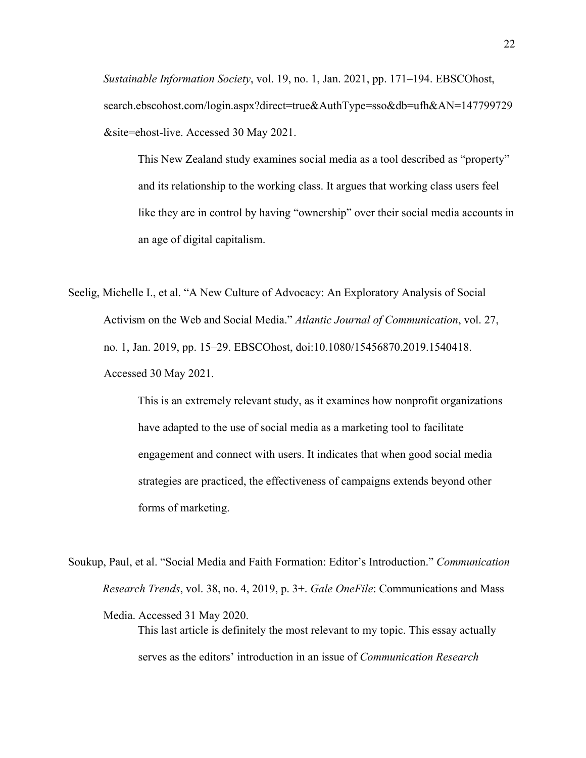*Sustainable Information Society*, vol. 19, no. 1, Jan. 2021, pp. 171–194. EBSCOhost, search.ebscohost.com/login.aspx?direct=true&AuthType=sso&db=ufh&AN=147799729 &site=ehost-live. Accessed 30 May 2021.

This New Zealand study examines social media as a tool described as "property" and its relationship to the working class. It argues that working class users feel like they are in control by having "ownership" over their social media accounts in an age of digital capitalism.

Seelig, Michelle I., et al. "A New Culture of Advocacy: An Exploratory Analysis of Social Activism on the Web and Social Media." *Atlantic Journal of Communication*, vol. 27, no. 1, Jan. 2019, pp. 15–29. EBSCOhost, doi:10.1080/15456870.2019.1540418. Accessed 30 May 2021.

> This is an extremely relevant study, as it examines how nonprofit organizations have adapted to the use of social media as a marketing tool to facilitate engagement and connect with users. It indicates that when good social media strategies are practiced, the effectiveness of campaigns extends beyond other forms of marketing.

Soukup, Paul, et al. "Social Media and Faith Formation: Editor's Introduction." *Communication Research Trends*, vol. 38, no. 4, 2019, p. 3+. *Gale OneFile*: Communications and Mass Media. Accessed 31 May 2020. This last article is definitely the most relevant to my topic. This essay actually serves as the editors' introduction in an issue of *Communication Research*